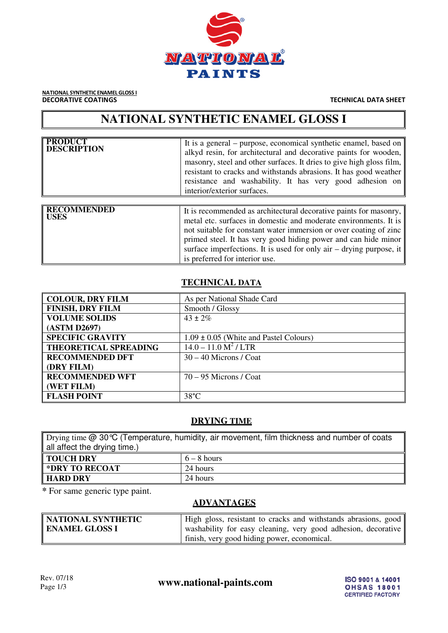

NATIONAL SYNTHETIC ENAMEL GLOSS I **DECORATIVE COATINGS** TECHNICAL DATA SHEET

# **NATIONAL SYNTHETIC ENAMEL GLOSS I**

| <b>PRODUCT</b><br><b>DESCRIPTION</b> | It is a general – purpose, economical synthetic enamel, based on $\parallel$<br>alkyd resin, for architectural and decorative paints for wooden,<br>masonry, steel and other surfaces. It dries to give high gloss film,<br>resistant to cracks and withstands abrasions. It has good weather<br>resistance and washability. It has very good adhesion on<br>interior/exterior surfaces.          |
|--------------------------------------|---------------------------------------------------------------------------------------------------------------------------------------------------------------------------------------------------------------------------------------------------------------------------------------------------------------------------------------------------------------------------------------------------|
| <b>RECOMMENDED</b><br><b>USES</b>    | It is recommended as architectural decorative paints for masonry,<br>metal etc. surfaces in domestic and moderate environments. It is $\parallel$<br>not suitable for constant water immersion or over coating of zinc<br>primed steel. It has very good hiding power and can hide minor<br>surface imperfections. It is used for only air – drying purpose, it<br>is preferred for interior use. |

## **TECHNICAL DATA**

| <b>COLOUR, DRY FILM</b>      | As per National Shade Card                 |
|------------------------------|--------------------------------------------|
| <b>FINISH, DRY FILM</b>      | Smooth / Glossy                            |
| <b>VOLUME SOLIDS</b>         | $43 \pm 2\%$                               |
| (ASTM D2697)                 |                                            |
| <b>SPECIFIC GRAVITY</b>      | $1.09 \pm 0.05$ (White and Pastel Colours) |
| <b>THEORETICAL SPREADING</b> | $14.0 - 11.0 \text{ M}^2 / \text{LTR}$     |
| <b>RECOMMENDED DFT</b>       | $30 - 40$ Microns / Coat                   |
| (DRY FILM)                   |                                            |
| <b>RECOMMENDED WFT</b>       | $70 - 95$ Microns / Coat                   |
| (WET FILM)                   |                                            |
| <b>FLASH POINT</b>           | $38^{\circ}$ C                             |

#### **DRYING TIME**

| Drying time @ 30 °C (Temperature, humidity, air movement, film thickness and number of coats |               |  |
|----------------------------------------------------------------------------------------------|---------------|--|
| all affect the drying time.)                                                                 |               |  |
| ∥ TOUCH DRY                                                                                  | $6 - 8$ hours |  |
| <b>EXPART TO RECOAT</b><br>24 hours                                                          |               |  |
| <b>HARD DRY</b><br>24 hours                                                                  |               |  |

**\*** For same generic type paint.

# **ADVANTAGES**

| NATIONAL SYNTHETIC    | High gloss, resistant to cracks and withstands abrasions, good |
|-----------------------|----------------------------------------------------------------|
| <b>ENAMEL GLOSS I</b> | washability for easy cleaning, very good adhesion, decorative  |
|                       | finish, very good hiding power, economical.                    |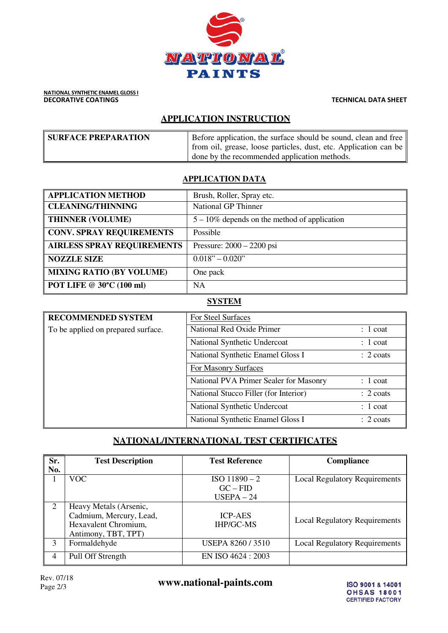

# **APPLICATION INSTRUCTION**

| <b>SURFACE PREPARATION</b> | Before application, the surface should be sound, clean and free $\parallel$ |
|----------------------------|-----------------------------------------------------------------------------|
|                            | from oil, grease, loose particles, dust, etc. Application can be            |
|                            | done by the recommended application methods.                                |

## **APPLICATION DATA**

| <b>APPLICATION METHOD</b>         | Brush, Roller, Spray etc.                       |
|-----------------------------------|-------------------------------------------------|
| <b>CLEANING/THINNING</b>          | <b>National GP Thinner</b>                      |
| <b>THINNER (VOLUME)</b>           | $5 - 10\%$ depends on the method of application |
| <b>CONV. SPRAY REQUIREMENTS</b>   | Possible                                        |
| <b>AIRLESS SPRAY REQUIREMENTS</b> | Pressure: $2000 - 2200$ psi                     |
| <b>NOZZLE SIZE</b>                | $0.018" - 0.020"$                               |
| <b>MIXING RATIO (BY VOLUME)</b>   | One pack                                        |
| <b>POT LIFE @ 30°C (100 ml)</b>   | NA                                              |

## **SYSTEM**

| <b>RECOMMENDED SYSTEM</b>          | For Steel Surfaces                     |                      |
|------------------------------------|----------------------------------------|----------------------|
| To be applied on prepared surface. | National Red Oxide Primer              | $: 1$ coat           |
|                                    | National Synthetic Undercoat           | $: 1$ coat           |
|                                    | National Synthetic Enamel Gloss I      | $\therefore$ 2 coats |
|                                    | For Masonry Surfaces                   |                      |
|                                    | National PVA Primer Sealer for Masonry | $: 1$ coat           |
|                                    | National Stucco Filler (for Interior)  | $\therefore$ 2 coats |
|                                    | National Synthetic Undercoat           | $: 1$ coat           |
|                                    | National Synthetic Enamel Gloss I      | $\therefore$ 2 coats |

## **NATIONAL/INTERNATIONAL TEST CERTIFICATES**

| Sr.<br>No. | <b>Test Description</b>                                                                          | <b>Test Reference</b>                       | <b>Compliance</b>                    |
|------------|--------------------------------------------------------------------------------------------------|---------------------------------------------|--------------------------------------|
|            | VOC.                                                                                             | $ISO$ 11890 - 2<br>$GC - FID$<br>$USEPA-24$ | <b>Local Regulatory Requirements</b> |
| 2          | Heavy Metals (Arsenic,<br>Cadmium, Mercury, Lead,<br>Hexavalent Chromium,<br>Antimony, TBT, TPT) | <b>ICP-AES</b><br><b>IHP/GC-MS</b>          | <b>Local Regulatory Requirements</b> |
| 3          | Formaldehyde                                                                                     | <b>USEPA 8260 / 3510</b>                    | <b>Local Regulatory Requirements</b> |
| 4          | Pull Off Strength                                                                                | EN ISO 4624 : 2003                          |                                      |

Rev. 07/18<br>Page 2/3

www.national-paints.com

ISO 9001 & 14001 **OHSAS 18001 CERTIFIED FACTORY**